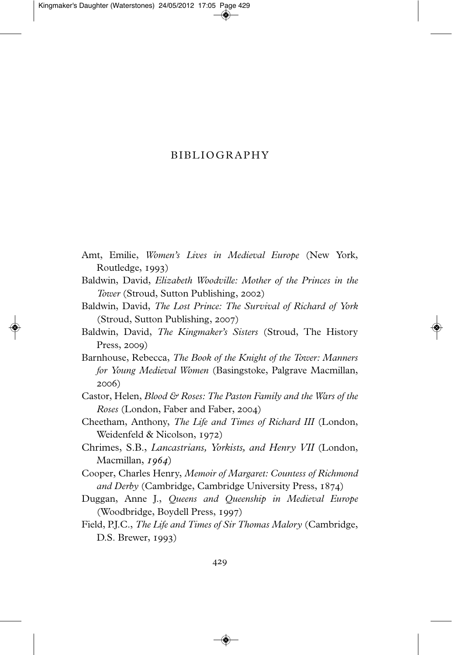## BIBLIOGRAPHY

- Amt, Emilie, *Women's Lives in Medieval Europe* (New York, Routledge, 1993)
- Baldwin, David, *Elizabeth Woodville: Mother of the Princes in the Tower* (Stroud, Sutton Publishing, 2002)
- Baldwin, David, *The Lost Prince: The Survival of Richard of York* (Stroud, Sutton Publishing, 2007)
- Baldwin, David, *The Kingmaker's Sisters* (Stroud, The History Press, 2009)
- Barnhouse, Rebecca, *The Book of the Knight of the Tower: Manners for Young Medieval Women* (Basingstoke, Palgrave Macmillan, 2006)
- Castor, Helen, *Blood & Roses: The Paston Family and the Wars of the Roses* (London, Faber and Faber, 2004)
- Cheetham, Anthony, *The Life and Times of Richard III* (London, Weidenfeld & Nicolson, 1972)
- Chrimes, S.B., *Lancastrians, Yorkists, and Henry VII* (London, Macmillan,  $1964$ )
- Cooper, Charles Henry, *Memoir of Margaret: Countess of Richmond and Derby (Cambridge, Cambridge University Press, 1874)*
- Duggan, Anne J., *Queens and Queenship in Medieval Europe* (Woodbridge, Boydell Press, 1997)
- Field, P.J.C., *The Life and Times of Sir Thomas Malory* (Cambridge,  $D.S.$  Brewer,  $1993)$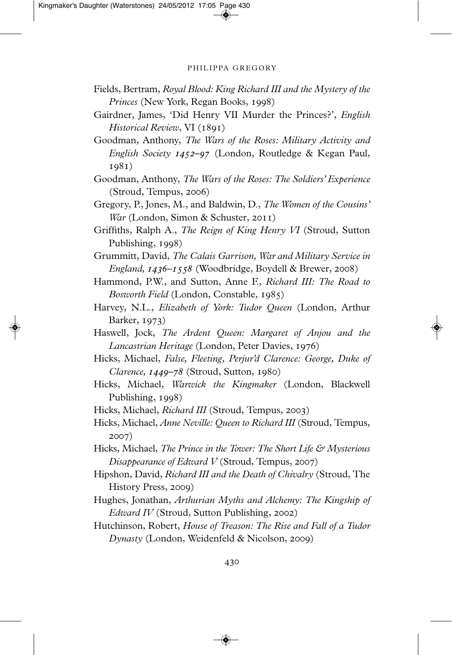## PHILIPPA GREGORY

- Fields, Bertram, *Royal Blood: King Richard III and the Mystery of the Princes* (New York, Regan Books, 1998)
- Gairdner, James, 'Did Henry VII Murder the Princes?', *English Historical Review*, VI (1891)
- Goodman, Anthony, *The Wars of the Roses: Military Activity and English Society 1452–97* (London, Routledge & Kegan Paul, 1981)
- Goodman, Anthony, *The Wars of the Roses: The Soldiers' Experience*  $(Stroud, Tempus, 2006)$
- Gregory, P., Jones, M., and Baldwin, D., *The Women of the Cousins' War* (London, Simon & Schuster, 2011)
- Griffiths, Ralph A., *The Reign of King Henry VI* (Stroud, Sutton Publishing, 1998)
- Grummitt, David, *The Calais Garrison, War and Military Service in England, 1436–1558* (Woodbridge, Boydell & Brewer, 2008)
- Hammond, P.W., and Sutton, Anne F., *Richard III: The Road to Bosworth Field (London, Constable, 1985)*
- Harvey, N.L., *Elizabeth of York: Tudor Queen* (London, Arthur Barker, 1973)
- Haswell, Jock, *The Ardent Queen: Margaret of Anjou and the Lancastrian Heritage* (London, Peter Davies, 1976)
- Hicks, Michael, *False, Fleeting, Perjur'd Clarence: George, Duke of Clarence, 1449-78* (Stroud, Sutton, 1980)
- Hicks, Michael, *Warwick the Kingmaker* (London, Blackwell Publishing, 1998)
- Hicks, Michael, *Richard III* (Stroud, Tempus, 2003)
- Hicks, Michael, *Anne Neville: Queen to Richard III* (Stroud, Tempus, 2007)
- Hicks, Michael, *The Prince in the Tower: The Short Life & Mysterious Disappearance of Edward V* (Stroud, Tempus, 2007)
- Hipshon, David, *Richard III and the Death of Chivalry* (Stroud, The History Press, 2009)
- Hughes, Jonathan, *Arthurian Myths and Alchemy: The Kingship of Edward IV* (Stroud, Sutton Publishing, 2002)
- Hutchinson, Robert, *House of Treason: The Rise and Fall of a Tudor Dynasty* (London, Weidenfeld & Nicolson, 2009)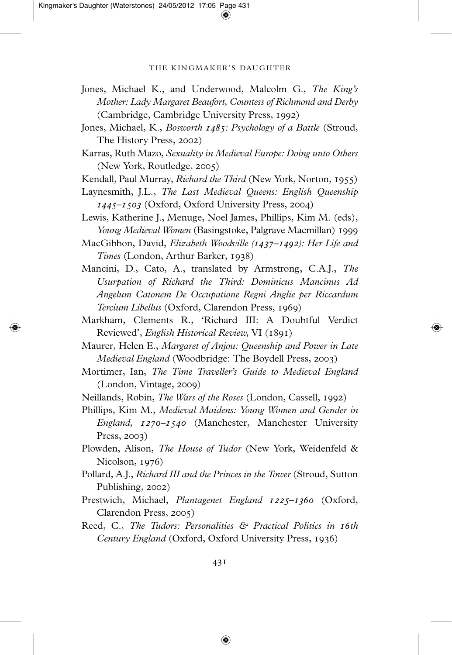## THE KINGMAKER'S DAUGHTER

- Jones, Michael K., and Underwood, Malcolm G., *The King's Mother: Lady Margaret Beaufort, Countess of Richmond and Derby* (Cambridge, Cambridge University Press, 1992)
- Jones, Michael, K., *Bosworth : Psychology of a Battle* (Stroud, The History Press, 2002)
- Karras, Ruth Mazo, *Sexuality in Medieval Europe: Doing unto Others*  $(New York, Routledge, 2005)$
- Kendall, Paul Murray, *Richard the Third* (New York, Norton, 1955)
- Laynesmith, J.L., *The Last Medieval Queens: English Queenship 1445–1503* (Oxford, Oxford University Press, 2004)
- Lewis, Katherine J., Menuge, Noel James, Phillips, Kim M. (eds), *Young Medieval Women* (Basingstoke, Palgrave Macmillan)
- MacGibbon, David, *Elizabeth Woodville (–): Her Life and Times* (London, Arthur Barker, 1938)
- Mancini, D., Cato, A., translated by Armstrong, C.A.J., *The Usurpation of Richard the Third: Dominicus Mancinus Ad Angelum Catonem De Occupatione Regni Anglie per Riccardum Tercium Libellus* (Oxford, Clarendon Press, 1969)
- Markham, Clements R., 'Richard III: A Doubtful Verdict Reviewed', *English Historical Review*, VI (1891)
- Maurer, Helen E., *Margaret of Anjou: Queenship and Power in Late Medieval England* (Woodbridge: The Boydell Press, 2003)
- Mortimer, Ian, *The Time Traveller's Guide to Medieval England* (London, Vintage, 2009)
- Neillands, Robin, *The Wars of the Roses* (London, Cassell, 1992)
- Phillips, Kim M., *Medieval Maidens: Young Women and Gender in England, 1270-1540* (Manchester, Manchester University  $Press, 2003)$
- Plowden, Alison, *The House of Tudor* (New York, Weidenfeld & Nicolson, 1976)
- Pollard, A.J., *Richard III and the Princes in the Tower* (Stroud, Sutton Publishing, 2002)
- Prestwich, Michael, *Plantagenet England 1225–1360* (Oxford,  $Clarendon Press, 2005)$
- Reed, C., *The Tudors: Personalities & Practical Politics in th Century England (Oxford, Oxford University Press, 1936)*